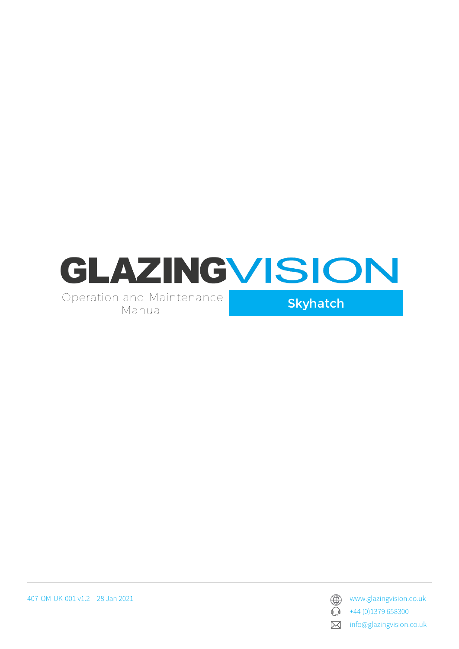

407-OM-UK-001 v1.2 – 28 Jan 2021 www.glazingvision.co.uk



 $\bigodot$  +44 (0)1379 658300

**X** info@glazingvision.co.uk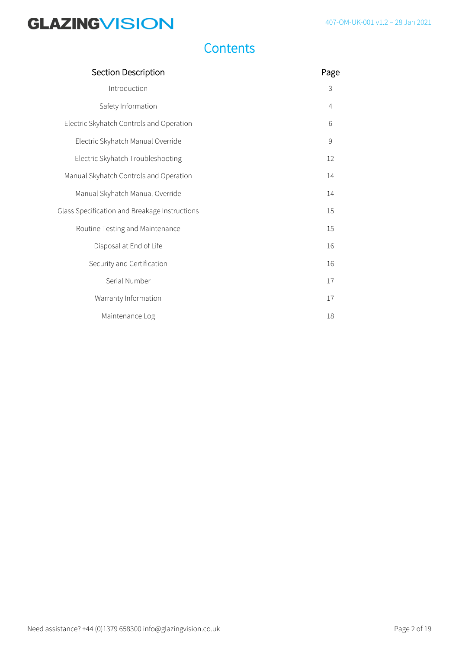### **Contents**

| Section Description                           | Page           |
|-----------------------------------------------|----------------|
| Introduction                                  | 3              |
| Safety Information                            | $\overline{4}$ |
| Electric Skyhatch Controls and Operation      | 6              |
| Electric Skyhatch Manual Override             | $\mathsf{S}$   |
| Electric Skyhatch Troubleshooting             | 12             |
| Manual Skyhatch Controls and Operation        | 14             |
| Manual Skyhatch Manual Override               | 14             |
| Glass Specification and Breakage Instructions | 15             |
| Routine Testing and Maintenance               | 15             |
| Disposal at End of Life                       | 16             |
| Security and Certification                    | 16             |
| Serial Number                                 | 17             |
| Warranty Information                          | 17             |
| Maintenance Log                               | 18             |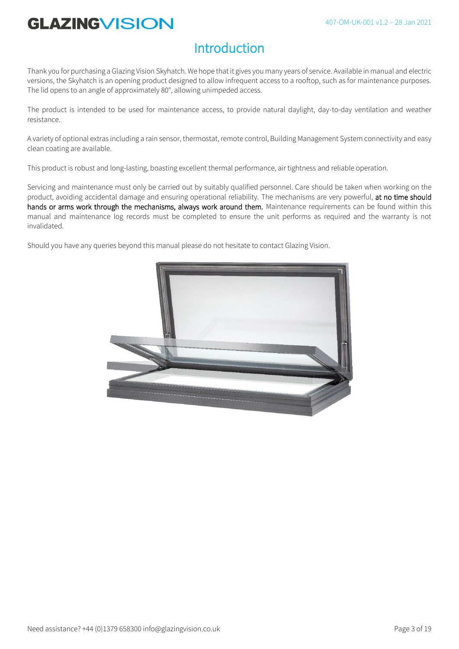### **Introduction**

Thank you for purchasing a Glazing Vision Skyhatch*.* We hope that it gives you many years of service. Available in manual and electric versions, the Skyhatch is an opening product designed to allow infrequent access to a rooftop, such as for maintenance purposes. The lid opens to an angle of approximately 80°, allowing unimpeded access.

The product is intended to be used for maintenance access, to provide natural daylight, day-to-day ventilation and weather resistance.

A variety of optional extras including a rain sensor, thermostat, remote control, Building Management System connectivity and easy clean coating are available.

This product is robust and long-lasting, boasting excellent thermal performance, air tightness and reliable operation.

Servicing and maintenance must only be carried out by suitably qualified personnel. Care should be taken when working on the product, avoiding accidental damage and ensuring operational reliability. The mechanisms are very powerful, at no time should hands or arms work through the mechanisms, always work around them. Maintenance requirements can be found within this manual and maintenance log records must be completed to ensure the unit performs as required and the warranty is not invalidated.

Should you have any queries beyond this manual please do not hesitate to contact Glazing Vision.

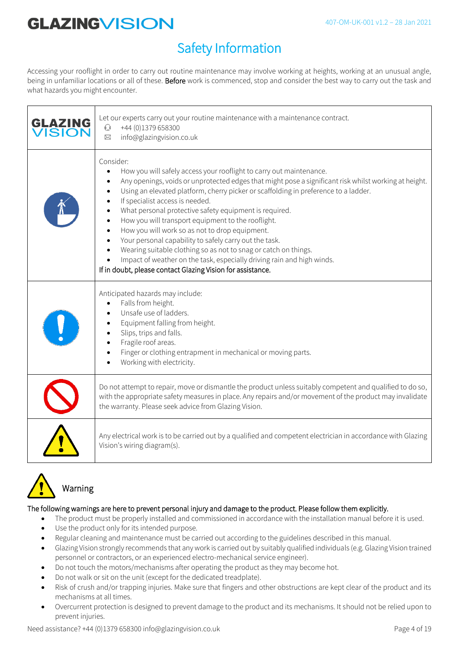## Safety Information

Accessing your rooflight in order to carry out routine maintenance may involve working at heights, working at an unusual angle, being in unfamiliar locations or all of these. Before work is commenced, stop and consider the best way to carry out the task and what hazards you might encounter.

| <b>GLAZING</b><br><b>ISION</b> | Let our experts carry out your routine maintenance with a maintenance contract.<br>+44 (0)1379 658300<br>$\mathbb{O}$<br>info@glazingvision.co.uk<br>$\boxtimes$                                                                                                                                                                                                                                                                                                                                                                                                                                                                                                                                                                                           |
|--------------------------------|------------------------------------------------------------------------------------------------------------------------------------------------------------------------------------------------------------------------------------------------------------------------------------------------------------------------------------------------------------------------------------------------------------------------------------------------------------------------------------------------------------------------------------------------------------------------------------------------------------------------------------------------------------------------------------------------------------------------------------------------------------|
|                                | Consider:<br>How you will safely access your rooflight to carry out maintenance.<br>Any openings, voids or unprotected edges that might pose a significant risk whilst working at height.<br>Using an elevated platform, cherry picker or scaffolding in preference to a ladder.<br>If specialist access is needed.<br>What personal protective safety equipment is required.<br>How you will transport equipment to the rooflight.<br>How you will work so as not to drop equipment.<br>Your personal capability to safely carry out the task.<br>Wearing suitable clothing so as not to snag or catch on things.<br>Impact of weather on the task, especially driving rain and high winds.<br>If in doubt, please contact Glazing Vision for assistance. |
|                                | Anticipated hazards may include:<br>Falls from height.<br>Unsafe use of ladders.<br>Equipment falling from height.<br>Slips, trips and falls.<br>Fragile roof areas.<br>Finger or clothing entrapment in mechanical or moving parts.<br>Working with electricity.                                                                                                                                                                                                                                                                                                                                                                                                                                                                                          |
|                                | Do not attempt to repair, move or dismantle the product unless suitably competent and qualified to do so,<br>with the appropriate safety measures in place. Any repairs and/or movement of the product may invalidate<br>the warranty. Please seek advice from Glazing Vision.                                                                                                                                                                                                                                                                                                                                                                                                                                                                             |
|                                | Any electrical work is to be carried out by a qualified and competent electrician in accordance with Glazing<br>Vision's wiring diagram(s).                                                                                                                                                                                                                                                                                                                                                                                                                                                                                                                                                                                                                |



### Warning

#### The following warnings are here to prevent personal injury and damage to the product. Please follow them explicitly.

- The product must be properly installed and commissioned in accordance with the installation manual before it is used.
- Use the product only for its intended purpose.
- Regular cleaning and maintenance must be carried out according to the guidelines described in this manual.
- Glazing Vision strongly recommends that any work is carried out by suitably qualified individuals (e.g. Glazing Vision trained personnel or contractors, or an experienced electro-mechanical service engineer).
- Do not touch the motors/mechanisms after operating the product as they may become hot.
- Do not walk or sit on the unit (except for the dedicated treadplate).
- Risk of crush and/or trapping injuries. Make sure that fingers and other obstructions are kept clear of the product and its mechanisms at all times.
- Overcurrent protection is designed to prevent damage to the product and its mechanisms. It should not be relied upon to prevent injuries.

Need assistance? +44 (0)1379 658300 info@glazingvision.co.uk Page 4 of 19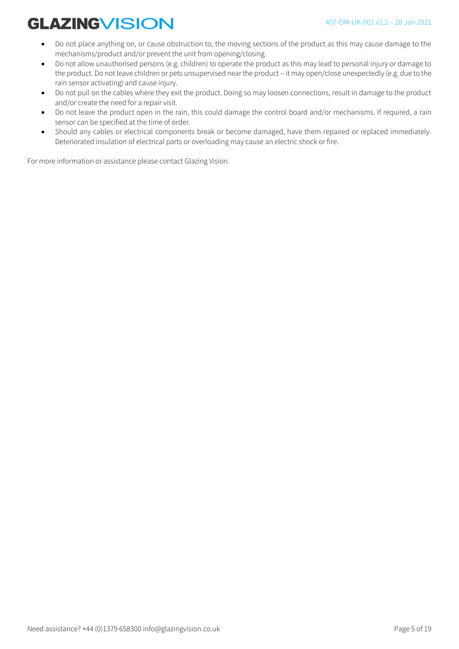- Do not place anything on, or cause obstruction to, the moving sections of the product as this may cause damage to the mechanisms/product and/or prevent the unit from opening/closing.
- Do not allow unauthorised persons (e.g. children) to operate the product as this may lead to personal injury or damage to the product. Do not leave children or pets unsupervised near the product – it may open/close unexpectedly (e.g. due to the rain sensor activating) and cause injury.
- Do not pull on the cables where they exit the product. Doing so may loosen connections, result in damage to the product and/or create the need for a repair visit.
- Do not leave the product open in the rain, this could damage the control board and/or mechanisms. If required, a rain sensor can be specified at the time of order.
- Should any cables or electrical components break or become damaged, have them repaired or replaced immediately. Deteriorated insulation of electrical parts or overloading may cause an electric shock or fire.

For more information or assistance please contact Glazing Vision.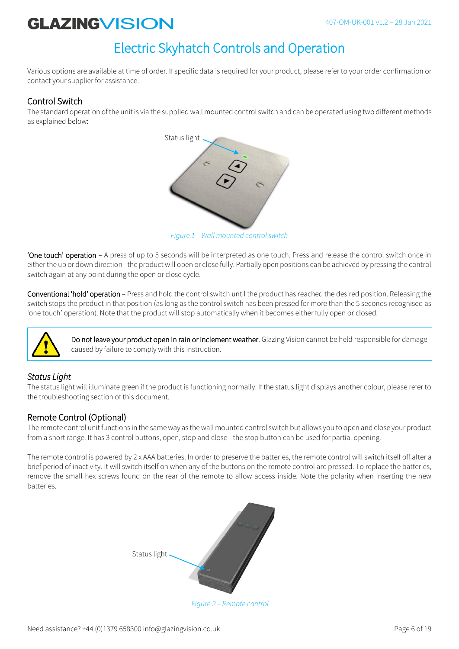### Electric Skyhatch Controls and Operation

Various options are available at time of order. If specific data is required for your product, please refer to your order confirmation or contact your supplier for assistance.

### Control Switch

The standard operation of the unit is via the supplied wall mounted control switch and can be operated using two different methods as explained below:



*Figure 1 – Wall mounted control switch*

'One touch' operation – A press of up to 5 seconds will be interpreted as one touch. Press and release the control switch once in either the up or down direction - the product will open or close fully. Partially open positions can be achieved by pressing the control switch again at any point during the open or close cycle.

Conventional 'hold' operation – Press and hold the control switch until the product has reached the desired position. Releasing the switch stops the product in that position (as long as the control switch has been pressed for more than the 5 seconds recognised as 'one touch' operation). Note that the product will stop automatically when it becomes either fully open or closed.



Do not leave your product open in rain or inclement weather. Glazing Vision cannot be held responsible for damage caused by failure to comply with this instruction.

### *Status Light*

The status light will illuminate green if the product is functioning normally. If the status light displays another colour, please refer to the troubleshooting section of this document.

### Remote Control (Optional)

The remote control unit functions in the same way as the wall mounted control switch but allows you to open and close your product from a short range. It has 3 control buttons, open, stop and close - the stop button can be used for partial opening.

The remote control is powered by 2 x AAA batteries. In order to preserve the batteries, the remote control will switch itself off after a brief period of inactivity. It will switch itself on when any of the buttons on the remote control are pressed. To replace the batteries, remove the small hex screws found on the rear of the remote to allow access inside. Note the polarity when inserting the new batteries.



*Figure 2 – Remote control*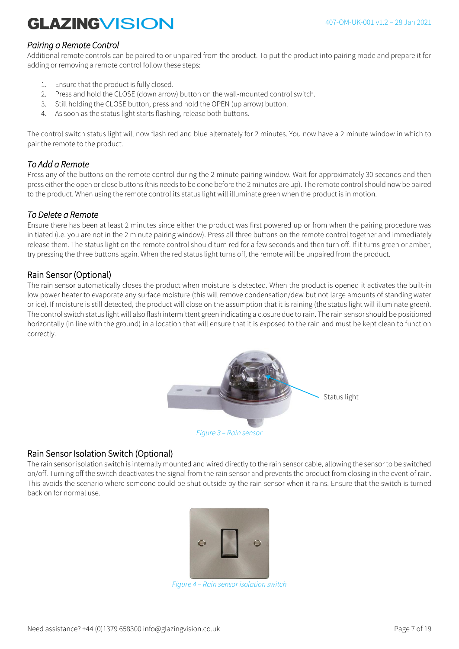### *Pairing a Remote Control*

Additional remote controls can be paired to or unpaired from the product. To put the product into pairing mode and prepare it for adding or removing a remote control follow these steps:

- 1. Ensure that the product is fully closed.
- 2. Press and hold the CLOSE (down arrow) button on the wall-mounted control switch.
- 3. Still holding the CLOSE button, press and hold the OPEN (up arrow) button.
- 4. As soon as the status light starts flashing, release both buttons.

The control switch status light will now flash red and blue alternately for 2 minutes. You now have a 2 minute window in which to pair the remote to the product.

### *To Add a Remote*

Press any of the buttons on the remote control during the 2 minute pairing window. Wait for approximately 30 seconds and then press either the open or close buttons (this needs to be done before the 2 minutes are up). The remote control should now be paired to the product. When using the remote control its status light will illuminate green when the product is in motion.

#### *To Delete a Remote*

Ensure there has been at least 2 minutes since either the product was first powered up or from when the pairing procedure was initiated (i.e. you are not in the 2 minute pairing window). Press all three buttons on the remote control together and immediately release them. The status light on the remote control should turn red for a few seconds and then turn off. If it turns green or amber, try pressing the three buttons again. When the red status light turns off, the remote will be unpaired from the product.

### Rain Sensor (Optional)

The rain sensor automatically closes the product when moisture is detected. When the product is opened it activates the built-in low power heater to evaporate any surface moisture (this will remove condensation/dew but not large amounts of standing water or ice). If moisture is still detected, the product will close on the assumption that it is raining (the status light will illuminate green). The control switch status light will also flash intermittent green indicating a closure due to rain. The rain sensor should be positioned horizontally (in line with the ground) in a location that will ensure that it is exposed to the rain and must be kept clean to function correctly.



### Rain Sensor Isolation Switch (Optional)

The rain sensor isolation switch is internally mounted and wired directly to the rain sensor cable, allowing the sensor to be switched on/off. Turning off the switch deactivates the signal from the rain sensor and prevents the product from closing in the event of rain. This avoids the scenario where someone could be shut outside by the rain sensor when it rains. Ensure that the switch is turned back on for normal use.



*Figure 4 – Rain sensor isolation switch*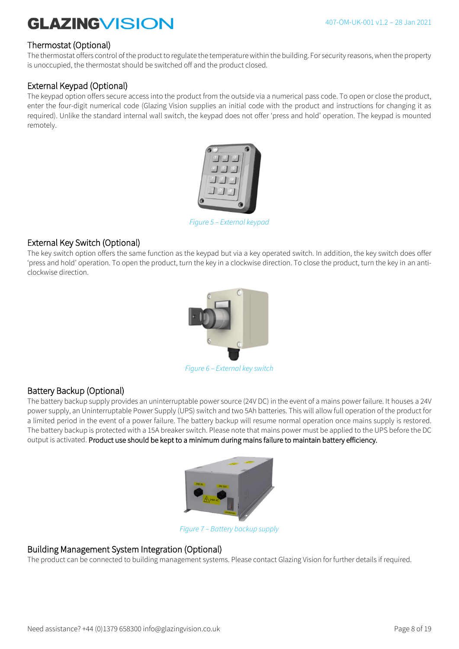### Thermostat (Optional)

The thermostat offers control of the product to regulate the temperature within the building. For security reasons, when the property is unoccupied, the thermostat should be switched off and the product closed.

### External Keypad (Optional)

The keypad option offers secure access into the product from the outside via a numerical pass code. To open or close the product, enter the four-digit numerical code (Glazing Vision supplies an initial code with the product and instructions for changing it as required). Unlike the standard internal wall switch, the keypad does not offer 'press and hold' operation. The keypad is mounted remotely.



*Figure 5 – External keypad*

### External Key Switch (Optional)

The key switch option offers the same function as the keypad but via a key operated switch. In addition, the key switch does offer 'press and hold' operation. To open the product, turn the key in a clockwise direction. To close the product, turn the key in an anticlockwise direction.



*Figure 6 – External key switch*

### Battery Backup (Optional)

The battery backup supply provides an uninterruptable power source (24V DC) in the event of a mains power failure. It houses a 24V power supply, an Uninterruptable Power Supply (UPS) switch and two 5Ah batteries. This will allow full operation of the product for a limited period in the event of a power failure. The battery backup will resume normal operation once mains supply is restored. The battery backup is protected with a 15A breaker switch. Please note that mains power must be applied to the UPS before the DC output is activated. Product use should be kept to a minimum during mains failure to maintain battery efficiency.



*Figure 7 – Battery backup supply*

#### Building Management System Integration (Optional)

The product can be connected to building management systems. Please contact Glazing Vision for further details if required.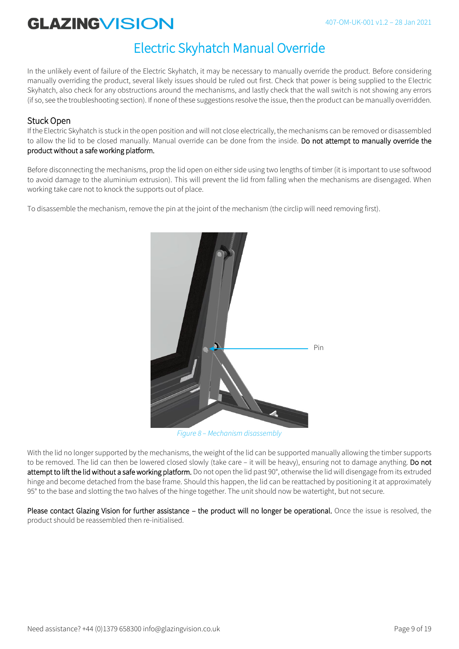### Electric Skyhatch Manual Override

In the unlikely event of failure of the Electric Skyhatch, it may be necessary to manually override the product. Before considering manually overriding the product, several likely issues should be ruled out first. Check that power is being supplied to the Electric Skyhatch, also check for any obstructions around the mechanisms, and lastly check that the wall switch is not showing any errors (if so, see the troubleshooting section). If none of these suggestions resolve the issue, then the product can be manually overridden.

### Stuck Open

If the Electric Skyhatch is stuck in the open position and will not close electrically, the mechanisms can be removed or disassembled to allow the lid to be closed manually. Manual override can be done from the inside. Do not attempt to manually override the product without a safe working platform.

Before disconnecting the mechanisms, prop the lid open on either side using two lengths of timber (it is important to use softwood to avoid damage to the aluminium extrusion). This will prevent the lid from falling when the mechanisms are disengaged. When working take care not to knock the supports out of place.

To disassemble the mechanism, remove the pin at the joint of the mechanism (the circlip will need removing first).



*Figure 8 – Mechanism disassembly*

With the lid no longer supported by the mechanisms, the weight of the lid can be supported manually allowing the timber supports to be removed. The lid can then be lowered closed slowly (take care – it will be heavy), ensuring not to damage anything. Do not attempt to lift the lid without a safe working platform. Do not open the lid past 90°, otherwise the lid will disengage from its extruded hinge and become detached from the base frame. Should this happen, the lid can be reattached by positioning it at approximately 95° to the base and slotting the two halves of the hinge together. The unit should now be watertight, but not secure.

Please contact Glazing Vision for further assistance – the product will no longer be operational. Once the issue is resolved, the product should be reassembled then re-initialised.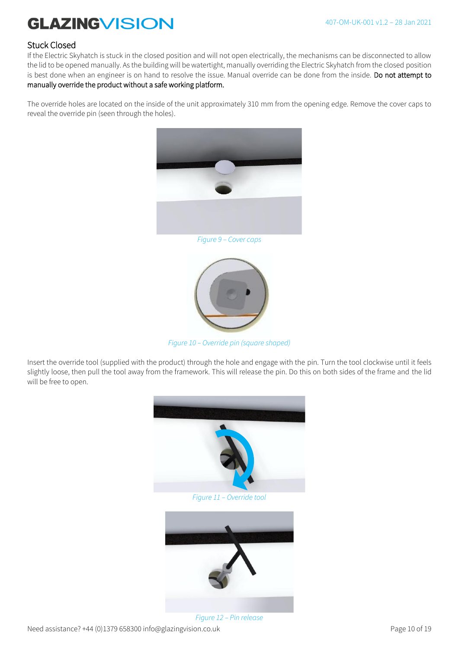#### Stuck Closed

If the Electric Skyhatch is stuck in the closed position and will not open electrically, the mechanisms can be disconnected to allow the lid to be opened manually. As the building will be watertight, manually overriding the Electric Skyhatch from the closed position is best done when an engineer is on hand to resolve the issue. Manual override can be done from the inside. Do not attempt to manually override the product without a safe working platform.

The override holes are located on the inside of the unit approximately 310 mm from the opening edge. Remove the cover caps to reveal the override pin (seen through the holes).



 $\overline{a}$ 



*Figure 10 – Override pin (square shaped)*

Insert the override tool (supplied with the product) through the hole and engage with the pin. Turn the tool clockwise until it feels slightly loose, then pull the tool away from the framework. This will release the pin. Do this on both sides of the frame and the lid will be free to open.



*Figure 12 – Pin release*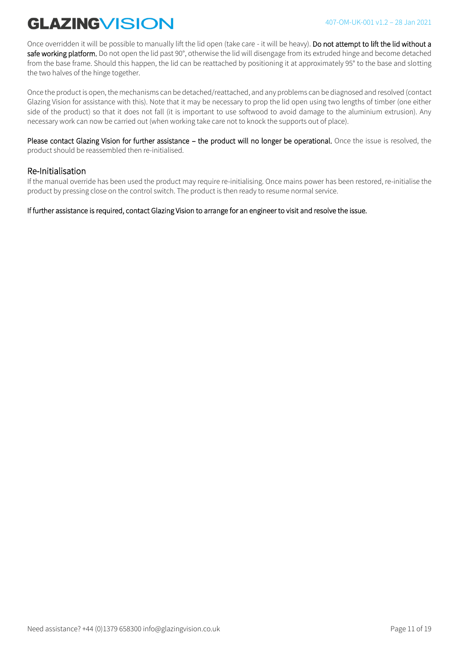Once overridden it will be possible to manually lift the lid open (take care - it will be heavy). Do not attempt to lift the lid without a safe working platform. Do not open the lid past 90°, otherwise the lid will disengage from its extruded hinge and become detached from the base frame. Should this happen, the lid can be reattached by positioning it at approximately 95° to the base and slotting the two halves of the hinge together.

Once the product is open, the mechanisms can be detached/reattached, and any problems can be diagnosed and resolved (contact Glazing Vision for assistance with this). Note that it may be necessary to prop the lid open using two lengths of timber (one either side of the product) so that it does not fall (it is important to use softwood to avoid damage to the aluminium extrusion). Any necessary work can now be carried out (when working take care not to knock the supports out of place).

Please contact Glazing Vision for further assistance – the product will no longer be operational. Once the issue is resolved, the product should be reassembled then re-initialised.

#### Re-Initialisation

If the manual override has been used the product may require re-initialising. Once mains power has been restored, re-initialise the product by pressing close on the control switch. The product is then ready to resume normal service.

If further assistance is required, contact Glazing Vision to arrange for an engineer to visit and resolve the issue.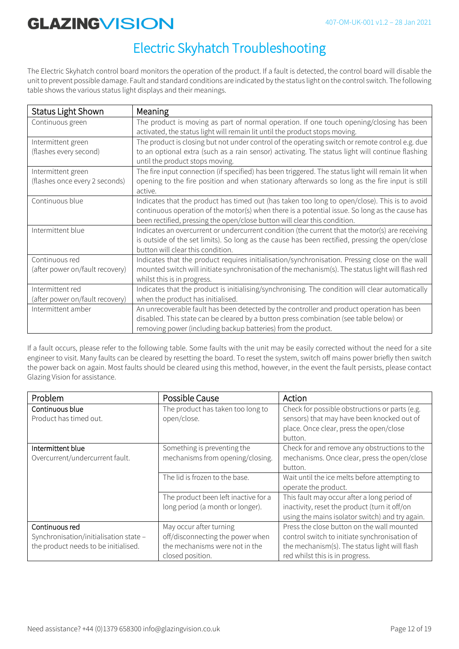### Electric Skyhatch Troubleshooting

The Electric Skyhatch control board monitors the operation of the product. If a fault is detected, the control board will disable the unit to prevent possible damage. Fault and standard conditions are indicated by the status light on the control switch. The following table shows the various status light displays and their meanings.

| <b>Status Light Shown</b>                            | Meaning                                                                                                                                                                                                                                                                      |
|------------------------------------------------------|------------------------------------------------------------------------------------------------------------------------------------------------------------------------------------------------------------------------------------------------------------------------------|
| Continuous green                                     | The product is moving as part of normal operation. If one touch opening/closing has been<br>activated, the status light will remain lit until the product stops moving.                                                                                                      |
| Intermittent green<br>(flashes every second)         | The product is closing but not under control of the operating switch or remote control e.g. due<br>to an optional extra (such as a rain sensor) activating. The status light will continue flashing<br>until the product stops moving.                                       |
| Intermittent green<br>(flashes once every 2 seconds) | The fire input connection (if specified) has been triggered. The status light will remain lit when<br>opening to the fire position and when stationary afterwards so long as the fire input is still<br>active.                                                              |
| Continuous blue                                      | Indicates that the product has timed out (has taken too long to open/close). This is to avoid<br>continuous operation of the motor(s) when there is a potential issue. So long as the cause has<br>been rectified, pressing the open/close button will clear this condition. |
| Intermittent blue                                    | Indicates an overcurrent or undercurrent condition (the current that the motor(s) are receiving<br>is outside of the set limits). So long as the cause has been rectified, pressing the open/close<br>button will clear this condition.                                      |
| Continuous red<br>(after power on/fault recovery)    | Indicates that the product requires initialisation/synchronisation. Pressing close on the wall<br>mounted switch will initiate synchronisation of the mechanism(s). The status light will flash red<br>whilst this is in progress.                                           |
| Intermittent red<br>(after power on/fault recovery)  | Indicates that the product is initialising/synchronising. The condition will clear automatically<br>when the product has initialised.                                                                                                                                        |
| Intermittent amber                                   | An unrecoverable fault has been detected by the controller and product operation has been<br>disabled. This state can be cleared by a button press combination (see table below) or<br>removing power (including backup batteries) from the product.                         |

If a fault occurs, please refer to the following table. Some faults with the unit may be easily corrected without the need for a site engineer to visit. Many faults can be cleared by resetting the board. To reset the system, switch off mains power briefly then switch the power back on again. Most faults should be cleared using this method, however, in the event the fault persists, please contact Glazing Vision for assistance.

| Problem                                | Possible Cause                       | Action                                          |
|----------------------------------------|--------------------------------------|-------------------------------------------------|
| Continuous blue                        | The product has taken too long to    | Check for possible obstructions or parts (e.g.  |
| Product has timed out.                 | open/close.                          | sensors) that may have been knocked out of      |
|                                        |                                      | place. Once clear, press the open/close         |
|                                        |                                      | button.                                         |
| Intermittent blue                      | Something is preventing the          | Check for and remove any obstructions to the    |
| Overcurrent/undercurrent fault.        | mechanisms from opening/closing.     | mechanisms. Once clear, press the open/close    |
|                                        |                                      | button.                                         |
|                                        | The lid is frozen to the base.       | Wait until the ice melts before attempting to   |
|                                        |                                      | operate the product.                            |
|                                        | The product been left inactive for a | This fault may occur after a long period of     |
|                                        | long period (a month or longer).     | inactivity, reset the product (turn it off/on   |
|                                        |                                      | using the mains isolator switch) and try again. |
| Continuous red                         | May occur after turning              | Press the close button on the wall mounted      |
| Synchronisation/initialisation state - | off/disconnecting the power when     | control switch to initiate synchronisation of   |
| the product needs to be initialised.   | the mechanisms were not in the       | the mechanism(s). The status light will flash   |
|                                        | closed position.                     | red whilst this is in progress.                 |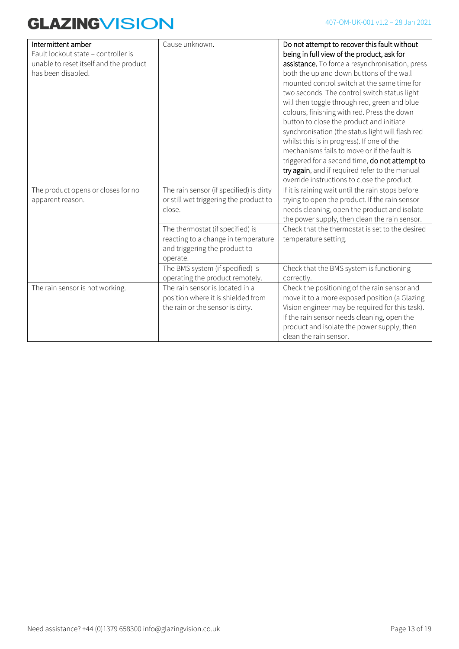| Intermittent amber<br>Fault lockout state - controller is<br>unable to reset itself and the product<br>has been disabled. | Cause unknown.                                                                                                       | Do not attempt to recover this fault without<br>being in full view of the product, ask for<br>assistance. To force a resynchronisation, press<br>both the up and down buttons of the wall<br>mounted control switch at the same time for<br>two seconds. The control switch status light<br>will then toggle through red, green and blue<br>colours, finishing with red. Press the down<br>button to close the product and initiate<br>synchronisation (the status light will flash red<br>whilst this is in progress). If one of the |
|---------------------------------------------------------------------------------------------------------------------------|----------------------------------------------------------------------------------------------------------------------|---------------------------------------------------------------------------------------------------------------------------------------------------------------------------------------------------------------------------------------------------------------------------------------------------------------------------------------------------------------------------------------------------------------------------------------------------------------------------------------------------------------------------------------|
|                                                                                                                           |                                                                                                                      | mechanisms fails to move or if the fault is<br>triggered for a second time, do not attempt to<br>try again, and if required refer to the manual<br>override instructions to close the product.                                                                                                                                                                                                                                                                                                                                        |
| The product opens or closes for no<br>apparent reason.                                                                    | The rain sensor (if specified) is dirty<br>or still wet triggering the product to<br>close.                          | If it is raining wait until the rain stops before<br>trying to open the product. If the rain sensor<br>needs cleaning, open the product and isolate<br>the power supply, then clean the rain sensor.                                                                                                                                                                                                                                                                                                                                  |
|                                                                                                                           | The thermostat (if specified) is<br>reacting to a change in temperature<br>and triggering the product to<br>operate. | Check that the thermostat is set to the desired<br>temperature setting.                                                                                                                                                                                                                                                                                                                                                                                                                                                               |
|                                                                                                                           | The BMS system (if specified) is<br>operating the product remotely.                                                  | Check that the BMS system is functioning<br>correctly.                                                                                                                                                                                                                                                                                                                                                                                                                                                                                |
| The rain sensor is not working.                                                                                           | The rain sensor is located in a<br>position where it is shielded from<br>the rain or the sensor is dirty.            | Check the positioning of the rain sensor and<br>move it to a more exposed position (a Glazing<br>Vision engineer may be required for this task).<br>If the rain sensor needs cleaning, open the<br>product and isolate the power supply, then<br>clean the rain sensor.                                                                                                                                                                                                                                                               |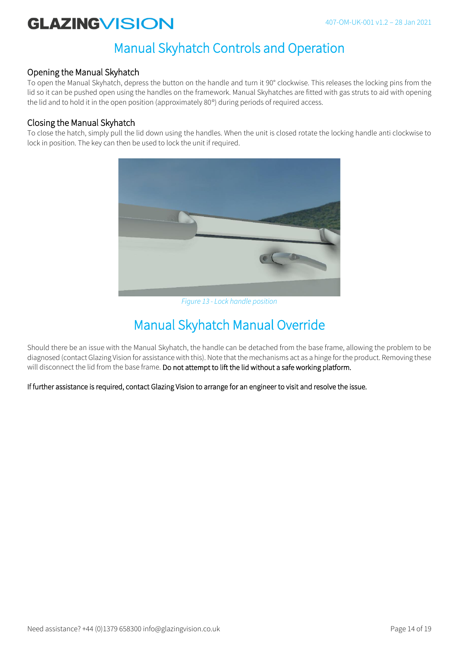### Manual Skyhatch Controls and Operation

### Opening the Manual Skyhatch

To open the Manual Skyhatch, depress the button on the handle and turn it 90° clockwise. This releases the locking pins from the lid so it can be pushed open using the handles on the framework. Manual Skyhatches are fitted with gas struts to aid with opening the lid and to hold it in the open position (approximately 80°) during periods of required access.

### Closing the Manual Skyhatch

To close the hatch, simply pull the lid down using the handles. When the unit is closed rotate the locking handle anti clockwise to lock in position. The key can then be used to lock the unit if required.



*Figure 13 - Lock handle position*

### Manual Skyhatch Manual Override

Should there be an issue with the Manual Skyhatch, the handle can be detached from the base frame, allowing the problem to be diagnosed (contact Glazing Vision for assistance with this). Note that the mechanisms act as a hinge for the product. Removing these will disconnect the lid from the base frame. Do not attempt to lift the lid without a safe working platform.

If further assistance is required, contact Glazing Vision to arrange for an engineer to visit and resolve the issue.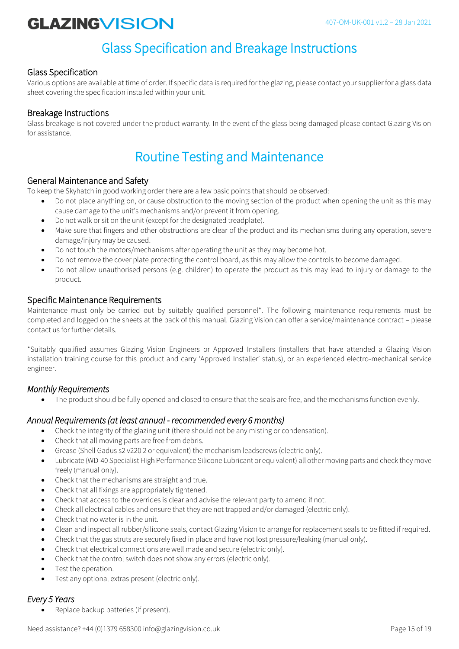### Glass Specification and Breakage Instructions

### Glass Specification

Various options are available at time of order. If specific data is required for the glazing, please contact your supplier for a glass data sheet covering the specification installed within your unit.

### Breakage Instructions

Glass breakage is not covered under the product warranty. In the event of the glass being damaged please contact Glazing Vision for assistance.

### Routine Testing and Maintenance

#### General Maintenance and Safety

To keep the Skyhatch in good working order there are a few basic points that should be observed:

- Do not place anything on, or cause obstruction to the moving section of the product when opening the unit as this may cause damage to the unit's mechanisms and/or prevent it from opening.
- Do not walk or sit on the unit (except for the designated treadplate).
- Make sure that fingers and other obstructions are clear of the product and its mechanisms during any operation, severe damage/injury may be caused.
- Do not touch the motors/mechanisms after operating the unit as they may become hot.
- Do not remove the cover plate protecting the control board, as this may allow the controls to become damaged.
- Do not allow unauthorised persons (e.g. children) to operate the product as this may lead to injury or damage to the product.

#### Specific Maintenance Requirements

Maintenance must only be carried out by suitably qualified personnel\*. The following maintenance requirements must be completed and logged on the sheets at the back of this manual. Glazing Vision can offer a service/maintenance contract – please contact us for further details.

\*Suitably qualified assumes Glazing Vision Engineers or Approved Installers (installers that have attended a Glazing Vision installation training course for this product and carry 'Approved Installer' status), or an experienced electro-mechanical service engineer.

#### *Monthly Requirements*

• The product should be fully opened and closed to ensure that the seals are free, and the mechanisms function evenly.

#### *Annual Requirements (at least annual - recommended every 6 months)*

- Check the integrity of the glazing unit (there should not be any misting or condensation).
- Check that all moving parts are free from debris.
- Grease (Shell Gadus s2 v220 2 or equivalent) the mechanism leadscrews (electric only).
- Lubricate (WD-40 Specialist High Performance Silicone Lubricant or equivalent) all other moving parts and check they move freely (manual only).
- Check that the mechanisms are straight and true.
- Check that all fixings are appropriately tightened.
- Check that access to the overrides is clear and advise the relevant party to amend if not.
- Check all electrical cables and ensure that they are not trapped and/or damaged (electric only).
- Check that no water is in the unit.
- Clean and inspect all rubber/silicone seals, contact Glazing Vision to arrange for replacement seals to be fitted if required.
- Check that the gas struts are securely fixed in place and have not lost pressure/leaking (manual only).
- Check that electrical connections are well made and secure (electric only).
- Check that the control switch does not show any errors (electric only).
- Test the operation.
- Test any optional extras present (electric only).

#### *Every 5 Years*

Replace backup batteries (if present).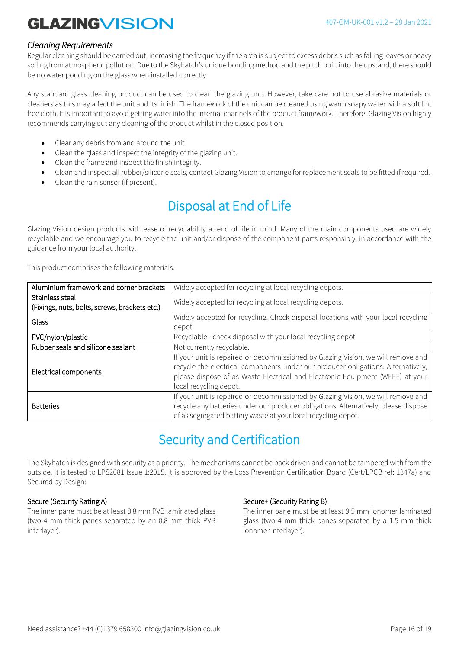#### *Cleaning Requirements*

Regular cleaning should be carried out, increasing the frequency if the area is subject to excess debris such as falling leaves or heavy soiling from atmospheric pollution. Due to the Skyhatch's unique bonding method and the pitch built into the upstand, there should be no water ponding on the glass when installed correctly.

Any standard glass cleaning product can be used to clean the glazing unit. However, take care not to use abrasive materials or cleaners as this may affect the unit and its finish. The framework of the unit can be cleaned using warm soapy water with a soft lint free cloth. It is important to avoid getting water into the internal channels of the product framework. Therefore, Glazing Vision highly recommends carrying out any cleaning of the product whilst in the closed position.

- Clear any debris from and around the unit.
- Clean the glass and inspect the integrity of the glazing unit.
- Clean the frame and inspect the finish integrity.
- Clean and inspect all rubber/silicone seals, contact Glazing Vision to arrange for replacement seals to be fitted if required.
- Clean the rain sensor (if present).

### Disposal at End of Life

Glazing Vision design products with ease of recyclability at end of life in mind. Many of the main components used are widely recyclable and we encourage you to recycle the unit and/or dispose of the component parts responsibly, in accordance with the guidance from your local authority.

This product comprises the following materials:

| Aluminium framework and corner brackets       | Widely accepted for recycling at local recycling depots.                                                                                                                                                                                                                        |  |
|-----------------------------------------------|---------------------------------------------------------------------------------------------------------------------------------------------------------------------------------------------------------------------------------------------------------------------------------|--|
| Stainless steel                               | Widely accepted for recycling at local recycling depots.                                                                                                                                                                                                                        |  |
| (Fixings, nuts, bolts, screws, brackets etc.) |                                                                                                                                                                                                                                                                                 |  |
| Glass                                         | Widely accepted for recycling. Check disposal locations with your local recycling<br>depot.                                                                                                                                                                                     |  |
| PVC/nylon/plastic                             | Recyclable - check disposal with your local recycling depot.                                                                                                                                                                                                                    |  |
| Rubber seals and silicone sealant             | Not currently recyclable.                                                                                                                                                                                                                                                       |  |
| Electrical components                         | If your unit is repaired or decommissioned by Glazing Vision, we will remove and<br>recycle the electrical components under our producer obligations. Alternatively,<br>please dispose of as Waste Electrical and Electronic Equipment (WEEE) at your<br>local recycling depot. |  |
| <b>Batteries</b>                              | If your unit is repaired or decommissioned by Glazing Vision, we will remove and<br>recycle any batteries under our producer obligations. Alternatively, please dispose<br>of as segregated battery waste at your local recycling depot.                                        |  |

### Security and Certification

The Skyhatch is designed with security as a priority. The mechanisms cannot be back driven and cannot be tampered with from the outside. It is tested to LPS2081 Issue 1:2015. It is approved by the Loss Prevention Certification Board (Cert/LPCB ref: 1347a) and Secured by Design:

#### Secure (Security Rating A)

The inner pane must be at least 8.8 mm PVB laminated glass (two 4 mm thick panes separated by an 0.8 mm thick PVB interlayer).

#### Secure+ (Security Rating B)

The inner pane must be at least 9.5 mm ionomer laminated glass (two 4 mm thick panes separated by a 1.5 mm thick ionomer interlayer).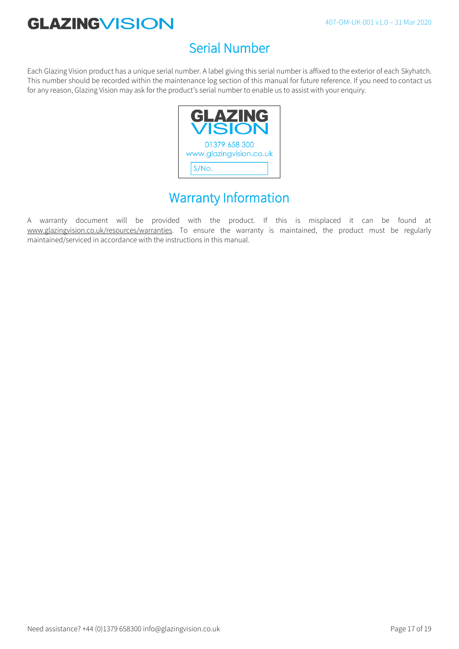### Serial Number

Each Glazing Vision product has a unique serial number. A label giving this serial number is affixed to the exterior of each Skyhatch. This number should be recorded within the maintenance log section of this manual for future reference. If you need to contact us for any reason, Glazing Vision may ask for the product's serial number to enable us to assist with your enquiry.



### Warranty Information

A warranty document will be provided with the product. If this is misplaced it can be found at www.glazingvision.co.uk/resources/warranties. To ensure the warranty is maintained, the product must be regularly maintained/serviced in accordance with the instructions in this manual.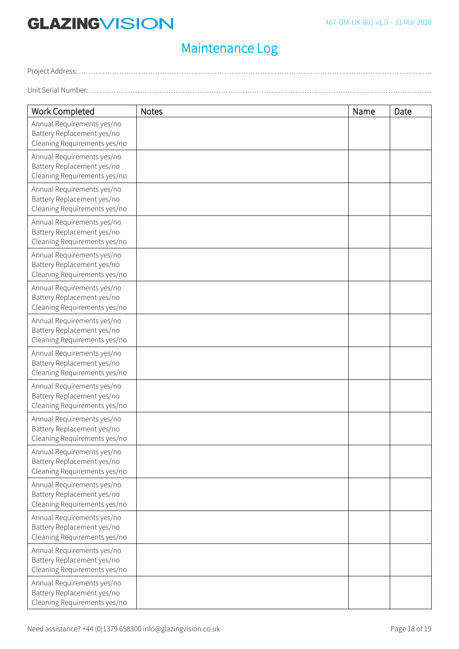Unit Serial Number: ...

### Maintenance Log

Project Address: ………………………………………………………………………………………………………………………………….

Work Completed Notes Name | Date Annual Requirements yes/no Battery Replacement yes/no Cleaning Requirements yes/no Annual Requirements yes/no Battery Replacement yes/no Cleaning Requirements yes/no Annual Requirements yes/no Battery Replacement yes/no Cleaning Requirements yes/no Annual Requirements yes/no Battery Replacement yes/no Cleaning Requirements yes/no Annual Requirements yes/no Battery Replacement yes/no Cleaning Requirements yes/no Annual Requirements yes/no Battery Replacement yes/no Cleaning Requirements yes/no Annual Requirements yes/no Battery Replacement yes/no Cleaning Requirements yes/no Annual Requirements yes/no Battery Replacement yes/no Cleaning Requirements yes/no Annual Requirements yes/no Battery Replacement yes/no Cleaning Requirements yes/no Annual Requirements yes/no Battery Replacement yes/no Cleaning Requirements yes/no Annual Requirements yes/no Battery Replacement yes/no Cleaning Requirements yes/no Annual Requirements yes/no Battery Replacement yes/no Cleaning Requirements yes/no Annual Requirements yes/no Battery Replacement yes/no Cleaning Requirements yes/no Annual Requirements yes/no Battery Replacement yes/no Cleaning Requirements yes/no Annual Requirements yes/no Battery Replacement yes/no Cleaning Requirements yes/no